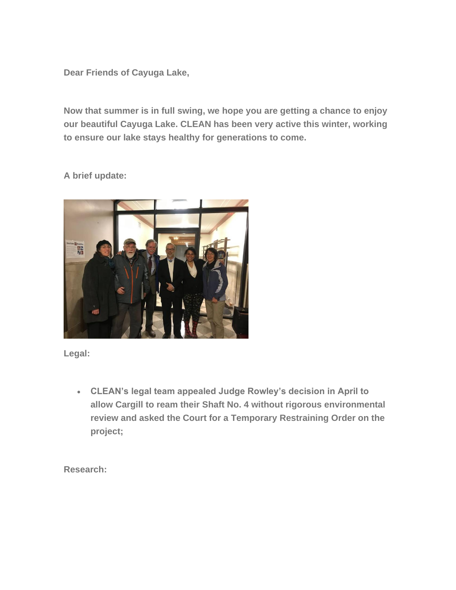**Dear Friends of Cayuga Lake,**

**Now that summer is in full swing, we hope you are getting a chance to enjoy our beautiful Cayuga Lake. CLEAN has been very active this winter, working to ensure our lake stays healthy for generations to come.**

**A brief update:**



**Legal:**

• **CLEAN's legal team appealed Judge Rowley's decision in April to allow Cargill to ream their Shaft No. 4 without rigorous environmental review and asked the Court for a Temporary Restraining Order on the project;**

**Research:**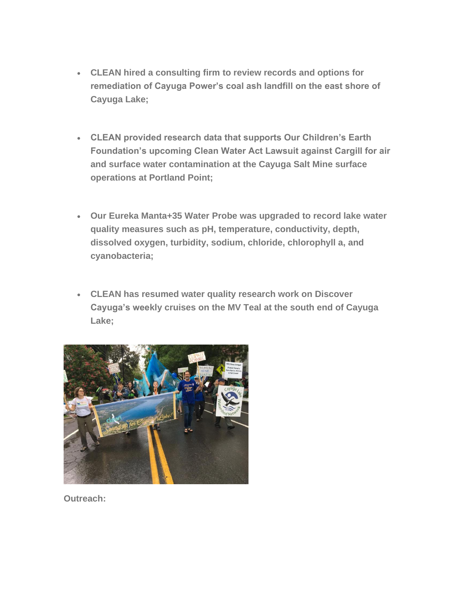- **CLEAN hired a consulting firm to review records and options for remediation of Cayuga Power's coal ash landfill on the east shore of Cayuga Lake;**
- **CLEAN provided research data that supports Our Children's Earth Foundation's upcoming Clean Water Act Lawsuit against Cargill for air and surface water contamination at the Cayuga Salt Mine surface operations at Portland Point;**
- **Our Eureka Manta+35 Water Probe was upgraded to record lake water quality measures such as pH, temperature, conductivity, depth, dissolved oxygen, turbidity, sodium, chloride, chlorophyll a, and cyanobacteria;**
- **CLEAN has resumed water quality research work on Discover Cayuga's weekly cruises on the MV Teal at the south end of Cayuga Lake;**



**Outreach:**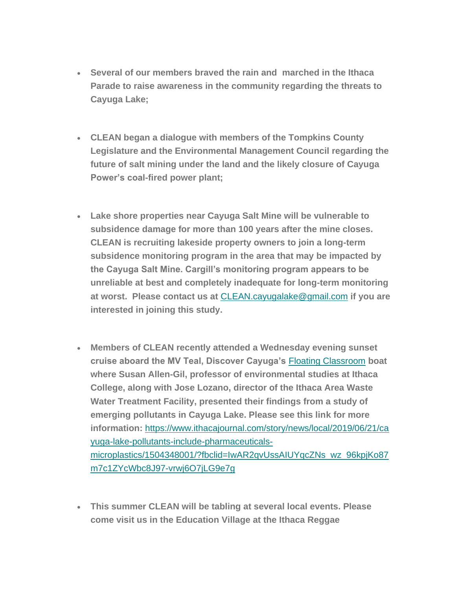- **Several of our members braved the rain and marched in the Ithaca Parade to raise awareness in the community regarding the threats to Cayuga Lake;**
- **CLEAN began a dialogue with members of the Tompkins County Legislature and the Environmental Management Council regarding the future of salt mining under the land and the likely closure of Cayuga Power's coal-fired power plant;**
- **Lake shore properties near Cayuga Salt Mine will be vulnerable to subsidence damage for more than 100 years after the mine closes. CLEAN is recruiting lakeside property owners to join a long-term subsidence monitoring program in the area that may be impacted by the Cayuga Salt Mine. Cargill's monitoring program appears to be unreliable at best and completely inadequate for long-term monitoring at worst. Please contact us at** [CLEAN.cayugalake@gmail.com](mailto:CLEAN.cayugalake@gmail.com) **if you are interested in joining this study.**
- **Members of CLEAN recently attended a Wednesday evening sunset cruise aboard the MV Teal, Discover Cayuga's** [Floating Classroom](https://www.ithacajournal.com/story/news/local/2018/08/23/organization-rebrands-discover-cayuga/1051301002/) **boat where Susan Allen-Gil, professor of environmental studies at Ithaca College, along with Jose Lozano, director of the Ithaca Area Waste Water Treatment Facility, presented their findings from a study of emerging pollutants in Cayuga Lake. Please see this link for more information:** [https://www.ithacajournal.com/story/news/local/2019/06/21/ca](https://www.ithacajournal.com/story/news/local/2019/06/21/cayuga-lake-pollutants-include-pharmaceuticals-microplastics/1504348001/?fbclid=IwAR2qvUssAIUYqcZNs_wz_96kpjKo87m7c1ZYcWbc8J97-vrwj6O7jLG9e7g) [yuga-lake-pollutants-include-pharmaceuticals](https://www.ithacajournal.com/story/news/local/2019/06/21/cayuga-lake-pollutants-include-pharmaceuticals-microplastics/1504348001/?fbclid=IwAR2qvUssAIUYqcZNs_wz_96kpjKo87m7c1ZYcWbc8J97-vrwj6O7jLG9e7g)[microplastics/1504348001/?fbclid=IwAR2qvUssAIUYqcZNs\\_wz\\_96kpjKo87](https://www.ithacajournal.com/story/news/local/2019/06/21/cayuga-lake-pollutants-include-pharmaceuticals-microplastics/1504348001/?fbclid=IwAR2qvUssAIUYqcZNs_wz_96kpjKo87m7c1ZYcWbc8J97-vrwj6O7jLG9e7g) [m7c1ZYcWbc8J97-vrwj6O7jLG9e7g](https://www.ithacajournal.com/story/news/local/2019/06/21/cayuga-lake-pollutants-include-pharmaceuticals-microplastics/1504348001/?fbclid=IwAR2qvUssAIUYqcZNs_wz_96kpjKo87m7c1ZYcWbc8J97-vrwj6O7jLG9e7g)
- **This summer CLEAN will be tabling at several local events. Please come visit us in the Education Village at the Ithaca Reggae**